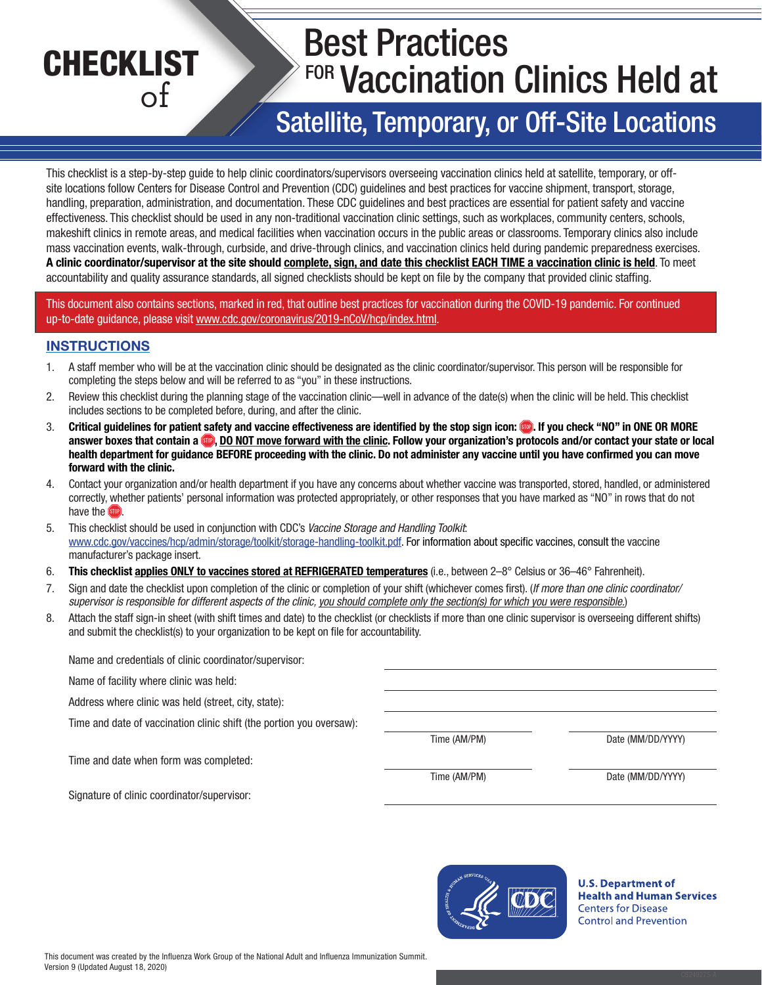# **CHECKLIST** of Best Practices **FOR Vaccination Clinics Held at** Satellite, Temporary, or Off-Site Locations

This checklist is a step-by-step guide to help clinic coordinators/supervisors overseeing vaccination clinics held at satellite, temporary, or offsite locations follow Centers for Disease Control and Prevention (CDC) guidelines and best practices for vaccine shipment, transport, storage, handling, preparation, administration, and documentation. These CDC guidelines and best practices are essential for patient safety and vaccine effectiveness. This checklist should be used in any non-traditional vaccination clinic settings, such as workplaces, community centers, schools, makeshift clinics in remote areas, and medical facilities when vaccination occurs in the public areas or classrooms. Temporary clinics also include mass vaccination events, walk-through, curbside, and drive-through clinics, and vaccination clinics held during pandemic preparedness exercises. A clinic coordinator/supervisor at the site should complete, sign, and date this checklist EACH TIME a vaccination clinic is held. To meet accountability and quality assurance standards, all signed checklists should be kept on file by the company that provided clinic staffing.

This document also contains sections, marked in red, that outline best practices for vaccination during the COVID-19 pandemic. For continued up-to-date guidance, please visit [www.cdc.gov/coronavirus/2019-nCoV/hcp/index.html.](http://www.cdc.gov/coronavirus/2019-nCoV/hcp/index.html)

#### **INSTRUCTIONS**

- 1. A staff member who will be at the vaccination clinic should be designated as the clinic coordinator/supervisor. This person will be responsible for completing the steps below and will be referred to as "you" in these instructions.
- 2. Review this checklist during the planning stage of the vaccination clinic—well in advance of the date(s) when the clinic will be held. This checklist includes sections to be completed before, during, and after the clinic.
- 3. Critical guidelines for patient safety and vaccine effectiveness are identified by the stop sign icon: . If you check "NO" in ONE OR MORE answer boxes that contain a **D**, DO NOT move forward with the clinic. Follow your organization's protocols and/or contact your state or local health department for guidance BEFORE proceeding with the clinic. Do not administer any vaccine until you have confirmed you can move forward with the clinic.
- 4. Contact your organization and/or health department if you have any concerns about whether vaccine was transported, stored, handled, or administered correctly, whether patients' personal information was protected appropriately, or other responses that you have marked as "NO" in rows that do not have the **stop**
- 5. This checklist should be used in conjunction with CDC's *Vaccine Storage and Handling Toolkit*: [www.cdc.gov/vaccines/hcp/admin/storage/toolkit/storage-handling-toolkit.pdf.](http://www.cdc.gov/vaccines/hcp/admin/storage/toolkit/storage-handling-toolkit.pdf) For information about specific vaccines, consult the vaccine manufacturer's package insert.
- 6. This checklist applies ONLY to vaccines stored at REFRIGERATED temperatures (i.e., between 2–8° Celsius or 36–46° Fahrenheit).
- 7. Sign and date the checklist upon completion of the clinic or completion of your shift (whichever comes first). (*If more than one clinic coordinator/ supervisor is responsible for different aspects of the clinic, you should complete only the section(s) for which you were responsible.*)
- 8. Attach the staff sign-in sheet (with shift times and date) to the checklist (or checklists if more than one clinic supervisor is overseeing different shifts) and submit the checklist(s) to your organization to be kept on file for accountability.

| Name and credentials of clinic coordinator/supervisor:               |              |                   |
|----------------------------------------------------------------------|--------------|-------------------|
| Name of facility where clinic was held:                              |              |                   |
| Address where clinic was held (street, city, state):                 |              |                   |
| Time and date of vaccination clinic shift (the portion you oversaw): |              |                   |
|                                                                      | Time (AM/PM) | Date (MM/DD/YYYY) |
| Time and date when form was completed:                               |              |                   |
|                                                                      | Time (AM/PM) | Date (MM/DD/YYYY) |
| Signature of clinic coordinator/supervisor:                          |              |                   |



**U.S. Department of Health and Human Services Centers for Disease Control and Prevention**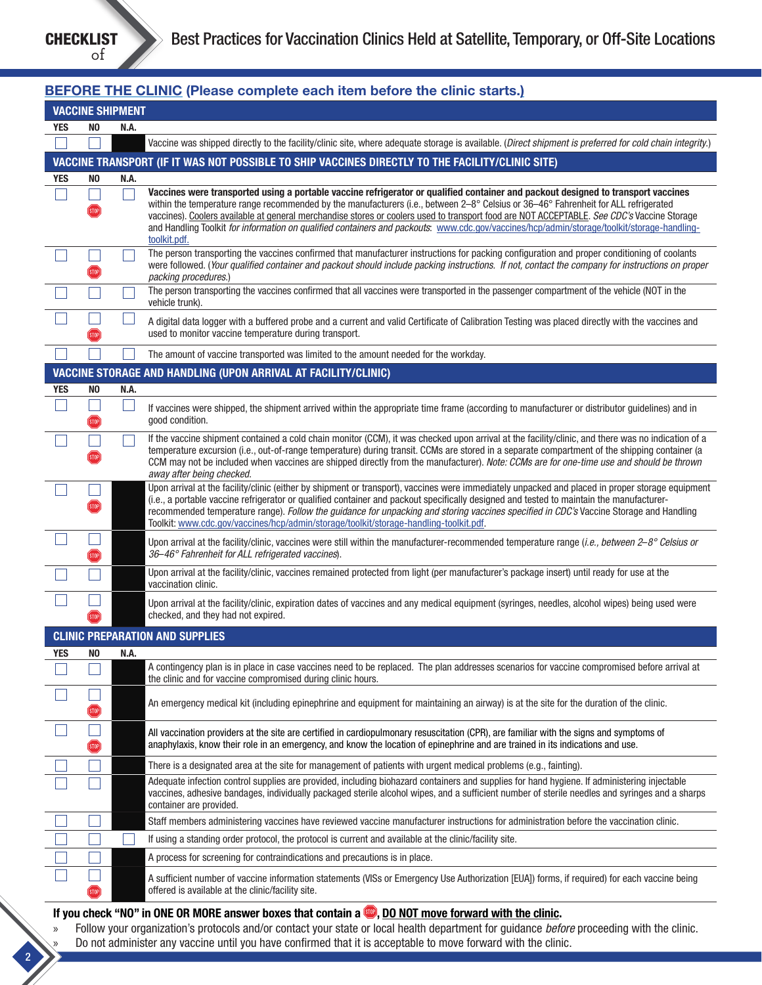2

#### BEFORE THE CLINIC (Please complete each item before the clinic starts.) VACCINE SHIPMENT YES NO N.A. Vaccine was shipped directly to the facility/clinic site, where adequate storage is available. (*Direct shipment is preferred for cold chain integrity*.) VACCINE TRANSPORT (IF IT WAS NOT POSSIBLE TO SHIP VACCINES DIRECTLY TO THE FACILITY/CLINIC SITE) YES NO N.A.  $\Box$ Vaccines were transported using a portable vaccine refrigerator or qualified container and packout designed to transport vaccines  $\mathsf{L}$ within the temperature range recommended by the manufacturers (i.e., between 2–8° Celsius or 36–46° Fahrenheit for ALL refrigerated **STOP** vaccines). Coolers available at general merchandise stores or coolers used to transport food are NOT ACCEPTABLE. *See CDC's* Vaccine Storage and Handling Toolkit *for information on qualified containers and packouts*: [www.cdc.gov/vaccines/hcp/admin/storage/toolkit/storage-handling](http://www.cdc.gov/vaccines/hcp/admin/storage/toolkit/storage-handling-toolkit.pdf)[toolkit.pdf](http://www.cdc.gov/vaccines/hcp/admin/storage/toolkit/storage-handling-toolkit.pdf). The person transporting the vaccines confirmed that manufacturer instructions for packing configuration and proper conditioning of coolants were followed. (*Your qualified container and packout should include packing instructions. If not, contact the company for instructions on proper*   $(stop)$ *packing procedures*.) The person transporting the vaccines confirmed that all vaccines were transported in the passenger compartment of the vehicle (NOT in the vehicle trunk). A digital data logger with a buffered probe and a current and valid Certificate of Calibration Testing was placed directly with the vaccines and used to monitor vaccine temperature during transport. The amount of vaccine transported was limited to the amount needed for the workday. VACCINE STORAGE AND HANDLING (UPON ARRIVAL AT FACILITY/CLINIC) YES NO N.A.  $\Box$  $\perp$ If vaccines were shipped, the shipment arrived within the appropriate time frame (according to manufacturer or distributor guidelines) and in good condition. **STOP** If the vaccine shipment contained a cold chain monitor (CCM), it was checked upon arrival at the facility/clinic, and there was no indication of a temperature excursion (i.e., out-of-range temperature) during transit. CCMs are stored in a separate compartment of the shipping container (a CCM may not be included when vaccines are shipped directly from the manufacturer). *Note: CCMs are for one-time use and should be thrown away after being checked.* Upon arrival at the facility/clinic (either by shipment or transport), vaccines were immediately unpacked and placed in proper storage equipment  $\Box$ (i.e., a portable vaccine refrigerator or qualified container and packout specifically designed and tested to maintain the manufacturerrecommended temperature range). *Follow the guidance for unpacking and storing vaccines specified in CDC's* Vaccine Storage and Handling Toolkit: [www.cdc.gov/vaccines/hcp/admin/storage/toolkit/storage-handling-toolkit.pdf.](http://www.cdc.gov/vaccines/hcp/admin/storage/toolkit/storage-handling-toolkit.pdf)  $\Box$ Upon arrival at the facility/clinic, vaccines were still within the manufacturer-recommended temperature range (*i.e., between 2*–*8° Celsius or 36*–*46° Fahrenheit for ALL refrigerated vaccines*).  $(STOP)$ Upon arrival at the facility/clinic, vaccines remained protected from light (per manufacturer's package insert) until ready for use at the vaccination clinic. Upon arrival at the facility/clinic, expiration dates of vaccines and any medical equipment (syringes, needles, alcohol wipes) being used were checked, and they had not expired. CLINIC PREPARATION AND SUPPLIES YES NO N.A. A contingency plan is in place in case vaccines need to be replaced. The plan addresses scenarios for vaccine compromised before arrival at the clinic and for vaccine compromised during clinic hours. П An emergency medical kit (including epinephrine and equipment for maintaining an airway) is at the site for the duration of the clinic.  $(STOP)$  $\Box$ All vaccination providers at the site are certified in cardiopulmonary resuscitation (CPR), are familiar with the signs and symptoms of anaphylaxis, know their role in an emergency, and know the location of epinephrine and are trained in its indications and use. **STOP** There is a designated area at the site for management of patients with urgent medical problems (e.g., fainting). Adequate infection control supplies are provided, including biohazard containers and supplies for hand hygiene. If administering injectable vaccines, adhesive bandages, individually packaged sterile alcohol wipes, and a sufficient number of sterile needles and syringes and a sharps container are provided. Staff members administering vaccines have reviewed vaccine manufacturer instructions for administration before the vaccination clinic.  $\Box$ If using a standing order protocol, the protocol is current and available at the clinic/facility site. A process for screening for contraindications and precautions is in place. A sufficient number of vaccine information statements (VISs or Emergency Use Authorization [EUA]) forms, if required) for each vaccine being offered is available at the clinic/facility site.

#### If you check "NO" in ONE OR MORE answer boxes that contain a  $\blacksquare$ , <u>DO NOT move forward with the clinic</u>.

» Follow your organization's protocols and/or contact your state or local health department for guidance *before* proceeding with the clinic. » Do not administer any vaccine until you have confirmed that it is acceptable to move forward with the clinic.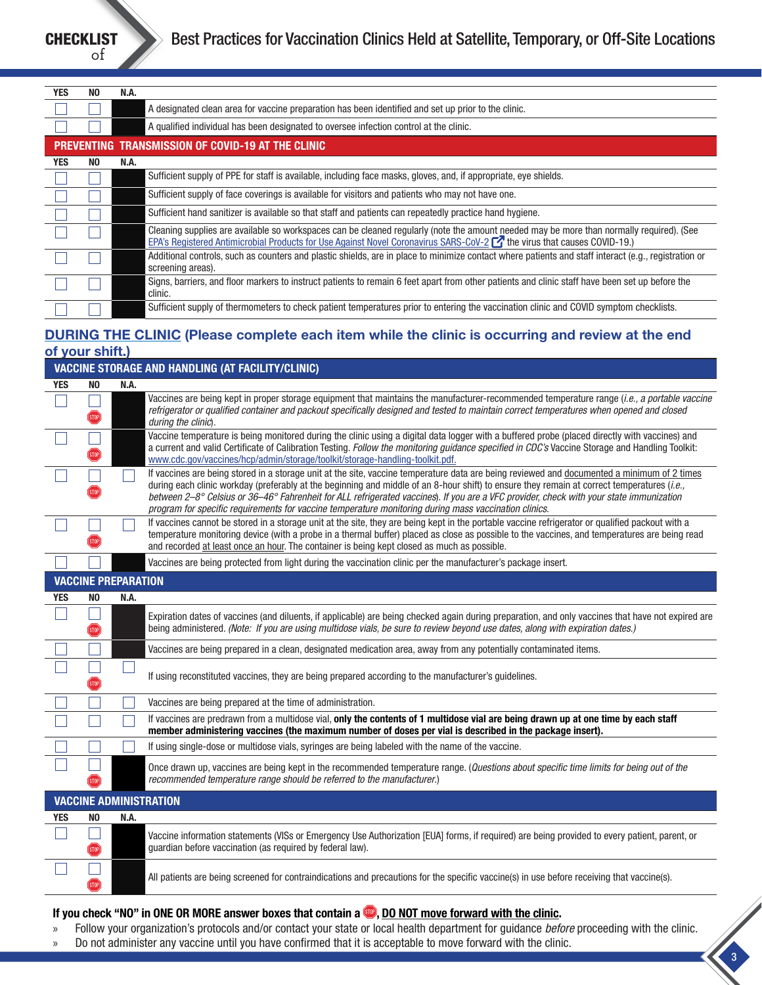| <b>YES</b> | NO. | N.A.                                                                                                                                                                                                                                                                     |  |
|------------|-----|--------------------------------------------------------------------------------------------------------------------------------------------------------------------------------------------------------------------------------------------------------------------------|--|
|            |     | A designated clean area for vaccine preparation has been identified and set up prior to the clinic.                                                                                                                                                                      |  |
|            |     | A qualified individual has been designated to oversee infection control at the clinic.                                                                                                                                                                                   |  |
|            |     | PREVENTING TRANSMISSION OF COVID-19 AT THE CLINIC                                                                                                                                                                                                                        |  |
| <b>YES</b> | NO. | N.A.                                                                                                                                                                                                                                                                     |  |
|            |     | Sufficient supply of PPE for staff is available, including face masks, gloves, and, if appropriate, eye shields.                                                                                                                                                         |  |
|            |     | Sufficient supply of face coverings is available for visitors and patients who may not have one.                                                                                                                                                                         |  |
|            |     | Sufficient hand sanitizer is available so that staff and patients can repeatedly practice hand hygiene.                                                                                                                                                                  |  |
|            |     | Cleaning supplies are available so workspaces can be cleaned regularly (note the amount needed may be more than normally required). (See<br>EPA's Registered Antimicrobial Products for Use Against Novel Coronavirus SARS-CoV-2 $\Box$ the virus that causes COVID-19.) |  |
|            |     | Additional controls, such as counters and plastic shields, are in place to minimize contact where patients and staff interact (e.g., registration or<br>screening areas).                                                                                                |  |
|            |     | Signs, barriers, and floor markers to instruct patients to remain 6 feet apart from other patients and clinic staff have been set up before the<br>clinic.                                                                                                               |  |
|            |     | Sufficient supply of thermometers to check patient temperatures prior to entering the vaccination clinic and COVID symptom checklists.                                                                                                                                   |  |

# DURING THE CLINIC (Please complete each item while the clinic is occurring and review at the end of your shift.)

|                               |                   |      | <b>VACCINE STORAGE AND HANDLING (AT FACILITY/CLINIC)</b>                                                                                                                                                                                                                                                                                                                                                                                                                                                                                       |
|-------------------------------|-------------------|------|------------------------------------------------------------------------------------------------------------------------------------------------------------------------------------------------------------------------------------------------------------------------------------------------------------------------------------------------------------------------------------------------------------------------------------------------------------------------------------------------------------------------------------------------|
| <b>YES</b>                    | NO.               | N.A. |                                                                                                                                                                                                                                                                                                                                                                                                                                                                                                                                                |
|                               | STOP              |      | Vaccines are being kept in proper storage equipment that maintains the manufacturer-recommended temperature range (i.e., a portable vaccine<br>refrigerator or qualified container and packout specifically designed and tested to maintain correct temperatures when opened and closed<br>during the clinic).                                                                                                                                                                                                                                 |
|                               |                   |      | Vaccine temperature is being monitored during the clinic using a digital data logger with a buffered probe (placed directly with vaccines) and<br>a current and valid Certificate of Calibration Testing. Follow the monitoring guidance specified in CDC's Vaccine Storage and Handling Toolkit:<br>www.cdc.gov/vaccines/hcp/admin/storage/toolkit/storage-handling-toolkit.pdf.                                                                                                                                                              |
|                               |                   |      | If vaccines are being stored in a storage unit at the site, vaccine temperature data are being reviewed and documented a minimum of 2 times<br>during each clinic workday (preferably at the beginning and middle of an 8-hour shift) to ensure they remain at correct temperatures (i.e.,<br>between 2-8° Celsius or 36-46° Fahrenheit for ALL refrigerated vaccines). If you are a VFC provider, check with your state immunization<br>program for specific requirements for vaccine temperature monitoring during mass vaccination clinics. |
|                               |                   |      | If vaccines cannot be stored in a storage unit at the site, they are being kept in the portable vaccine refrigerator or qualified packout with a<br>temperature monitoring device (with a probe in a thermal buffer) placed as close as possible to the vaccines, and temperatures are being read<br>and recorded at least once an hour. The container is being kept closed as much as possible.                                                                                                                                               |
|                               |                   |      | Vaccines are being protected from light during the vaccination clinic per the manufacturer's package insert.                                                                                                                                                                                                                                                                                                                                                                                                                                   |
| <b>VACCINE PREPARATION</b>    |                   |      |                                                                                                                                                                                                                                                                                                                                                                                                                                                                                                                                                |
| <b>YES</b>                    | N <sub>0</sub>    | N.A. |                                                                                                                                                                                                                                                                                                                                                                                                                                                                                                                                                |
|                               | STOP              |      | Expiration dates of vaccines (and diluents, if applicable) are being checked again during preparation, and only vaccines that have not expired are<br>being administered. (Note: If you are using multidose vials, be sure to review beyond use dates, along with expiration dates.)                                                                                                                                                                                                                                                           |
|                               |                   |      | Vaccines are being prepared in a clean, designated medication area, away from any potentially contaminated items.                                                                                                                                                                                                                                                                                                                                                                                                                              |
|                               |                   |      | If using reconstituted vaccines, they are being prepared according to the manufacturer's guidelines.                                                                                                                                                                                                                                                                                                                                                                                                                                           |
|                               |                   |      | Vaccines are being prepared at the time of administration.                                                                                                                                                                                                                                                                                                                                                                                                                                                                                     |
|                               |                   |      | If vaccines are predrawn from a multidose vial, only the contents of 1 multidose vial are being drawn up at one time by each staff<br>member administering vaccines (the maximum number of doses per vial is described in the package insert).                                                                                                                                                                                                                                                                                                 |
|                               |                   |      | If using single-dose or multidose vials, syringes are being labeled with the name of the vaccine.                                                                                                                                                                                                                                                                                                                                                                                                                                              |
|                               |                   |      | Once drawn up, vaccines are being kept in the recommended temperature range. (Questions about specific time limits for being out of the<br>recommended temperature range should be referred to the manufacturer.)                                                                                                                                                                                                                                                                                                                              |
| <b>VACCINE ADMINISTRATION</b> |                   |      |                                                                                                                                                                                                                                                                                                                                                                                                                                                                                                                                                |
| <b>YES</b>                    | N <sub>0</sub>    | N.A. |                                                                                                                                                                                                                                                                                                                                                                                                                                                                                                                                                |
|                               | STOP <sup>)</sup> |      | Vaccine information statements (VISs or Emergency Use Authorization [EUA] forms, if required) are being provided to every patient, parent, or<br>guardian before vaccination (as required by federal law).                                                                                                                                                                                                                                                                                                                                     |
|                               |                   |      | All patients are being screened for contraindications and precautions for the specific vaccine(s) in use before receiving that vaccine(s).                                                                                                                                                                                                                                                                                                                                                                                                     |

# If you check "NO" in ONE OR MORE answer boxes that contain a , DO NOT move forward with the clinic.

- » Follow your organization's protocols and/or contact your state or local health department for guidance *before* proceeding with the clinic.
- » Do not administer any vaccine until you have confirmed that it is acceptable to move forward with the clinic.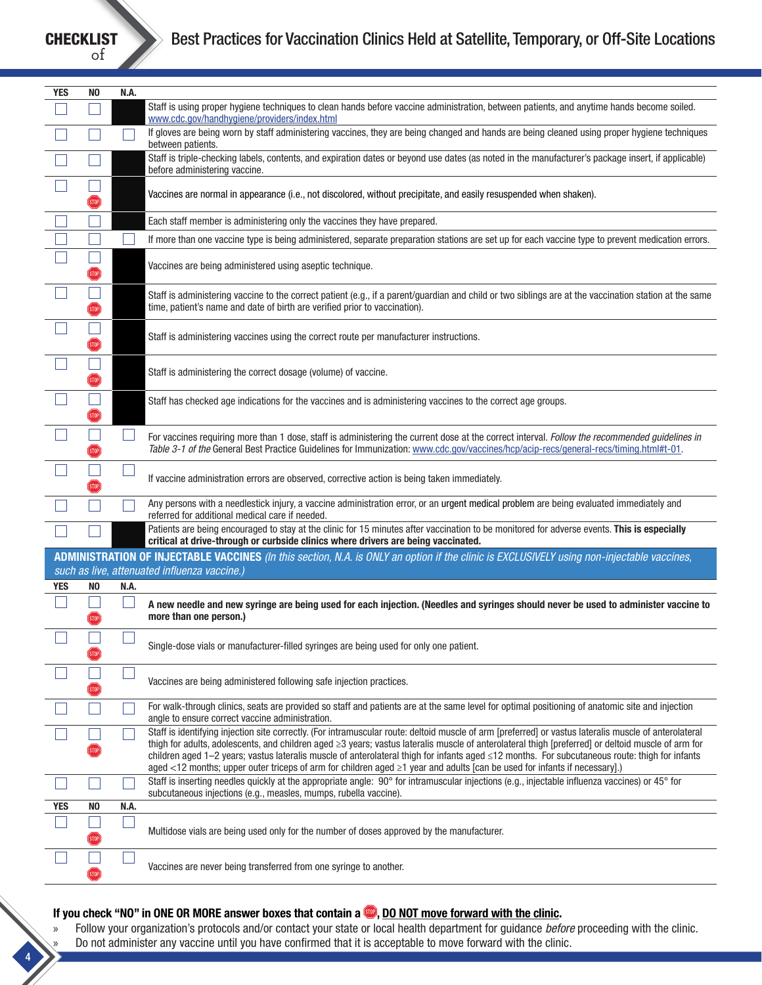

4

| <b>YES</b> | N <sub>0</sub>    | N.A. |                                                                                                                                                                                                                                                                                                                                                                                                                                                                                                                                                                                             |
|------------|-------------------|------|---------------------------------------------------------------------------------------------------------------------------------------------------------------------------------------------------------------------------------------------------------------------------------------------------------------------------------------------------------------------------------------------------------------------------------------------------------------------------------------------------------------------------------------------------------------------------------------------|
|            |                   |      | Staff is using proper hygiene techniques to clean hands before vaccine administration, between patients, and anytime hands become soiled.<br>www.cdc.gov/handhygiene/providers/index.html                                                                                                                                                                                                                                                                                                                                                                                                   |
|            |                   |      | If gloves are being worn by staff administering vaccines, they are being changed and hands are being cleaned using proper hygiene techniques<br>between patients.                                                                                                                                                                                                                                                                                                                                                                                                                           |
|            |                   |      | Staff is triple-checking labels, contents, and expiration dates or beyond use dates (as noted in the manufacturer's package insert, if applicable)<br>before administering vaccine.                                                                                                                                                                                                                                                                                                                                                                                                         |
|            | STOP <sup>®</sup> |      | Vaccines are normal in appearance (i.e., not discolored, without precipitate, and easily resuspended when shaken).                                                                                                                                                                                                                                                                                                                                                                                                                                                                          |
|            |                   |      | Each staff member is administering only the vaccines they have prepared.                                                                                                                                                                                                                                                                                                                                                                                                                                                                                                                    |
|            |                   |      | If more than one vaccine type is being administered, separate preparation stations are set up for each vaccine type to prevent medication errors.                                                                                                                                                                                                                                                                                                                                                                                                                                           |
|            | STOP)             |      | Vaccines are being administered using aseptic technique.                                                                                                                                                                                                                                                                                                                                                                                                                                                                                                                                    |
|            | (STOP             |      | Staff is administering vaccine to the correct patient (e.g., if a parent/guardian and child or two siblings are at the vaccination station at the same<br>time, patient's name and date of birth are verified prior to vaccination).                                                                                                                                                                                                                                                                                                                                                        |
|            | STOP              |      | Staff is administering vaccines using the correct route per manufacturer instructions.                                                                                                                                                                                                                                                                                                                                                                                                                                                                                                      |
|            | <b>STOP</b>       |      | Staff is administering the correct dosage (volume) of vaccine.                                                                                                                                                                                                                                                                                                                                                                                                                                                                                                                              |
|            |                   |      | Staff has checked age indications for the vaccines and is administering vaccines to the correct age groups.                                                                                                                                                                                                                                                                                                                                                                                                                                                                                 |
|            | <b>STOP</b>       |      | For vaccines requiring more than 1 dose, staff is administering the current dose at the correct interval. Follow the recommended guidelines in<br>Table 3-1 of the General Best Practice Guidelines for Immunization: www.cdc.gov/vaccines/hcp/acip-recs/general-recs/timing.html#t-01.                                                                                                                                                                                                                                                                                                     |
|            |                   |      | If vaccine administration errors are observed, corrective action is being taken immediately.                                                                                                                                                                                                                                                                                                                                                                                                                                                                                                |
|            |                   |      | Any persons with a needlestick injury, a vaccine administration error, or an urgent medical problem are being evaluated immediately and<br>referred for additional medical care if needed.                                                                                                                                                                                                                                                                                                                                                                                                  |
|            |                   |      | Patients are being encouraged to stay at the clinic for 15 minutes after vaccination to be monitored for adverse events. This is especially<br>critical at drive-through or curbside clinics where drivers are being vaccinated.                                                                                                                                                                                                                                                                                                                                                            |
|            |                   |      | ADMINISTRATION OF INJECTABLE VACCINES (In this section, N.A. is ONLY an option if the clinic is EXCLUSIVELY using non-injectable vaccines,                                                                                                                                                                                                                                                                                                                                                                                                                                                  |
|            |                   |      | such as live, attenuated influenza vaccine.)                                                                                                                                                                                                                                                                                                                                                                                                                                                                                                                                                |
| <b>YES</b> | NO                | N.A. |                                                                                                                                                                                                                                                                                                                                                                                                                                                                                                                                                                                             |
|            |                   |      | A new needle and new syringe are being used for each injection. (Needles and syringes should never be used to administer vaccine to<br>more than one person.)                                                                                                                                                                                                                                                                                                                                                                                                                               |
|            | (STOP)            |      | Single-dose vials or manufacturer-filled syringes are being used for only one patient.                                                                                                                                                                                                                                                                                                                                                                                                                                                                                                      |
|            |                   |      | Vaccines are being administered following safe injection practices.                                                                                                                                                                                                                                                                                                                                                                                                                                                                                                                         |
|            |                   |      | For walk-through clinics, seats are provided so staff and patients are at the same level for optimal positioning of anatomic site and injection<br>angle to ensure correct vaccine administration.                                                                                                                                                                                                                                                                                                                                                                                          |
|            |                   |      | Staff is identifying injection site correctly. (For intramuscular route: deltoid muscle of arm [preferred] or vastus lateralis muscle of anterolateral<br>thigh for adults, adolescents, and children aged ≥3 years; vastus lateralis muscle of anterolateral thigh [preferred] or deltoid muscle of arm for<br>children aged 1–2 years; vastus lateralis muscle of anterolateral thigh for infants aged ≤12 months. For subcutaneous route: thigh for infants<br>aged <12 months; upper outer triceps of arm for children aged ≥1 year and adults [can be used for infants if necessary].) |
|            |                   |      | Staff is inserting needles quickly at the appropriate angle: 90° for intramuscular injections (e.g., injectable influenza vaccines) or 45° for<br>subcutaneous injections (e.g., measles, mumps, rubella vaccine).                                                                                                                                                                                                                                                                                                                                                                          |
| <b>YES</b> | NO                | N.A. |                                                                                                                                                                                                                                                                                                                                                                                                                                                                                                                                                                                             |
|            | STOP              |      | Multidose vials are being used only for the number of doses approved by the manufacturer.                                                                                                                                                                                                                                                                                                                                                                                                                                                                                                   |
|            | STOP              |      | Vaccines are never being transferred from one syringe to another.                                                                                                                                                                                                                                                                                                                                                                                                                                                                                                                           |

# If you check "NO" in ONE OR MORE answer boxes that contain a **.**, DO NOT move forward with the clinic.

» Follow your organization's protocols and/or contact your state or local health department for guidance *before* proceeding with the clinic. » Do not administer any vaccine until you have confirmed that it is acceptable to move forward with the clinic.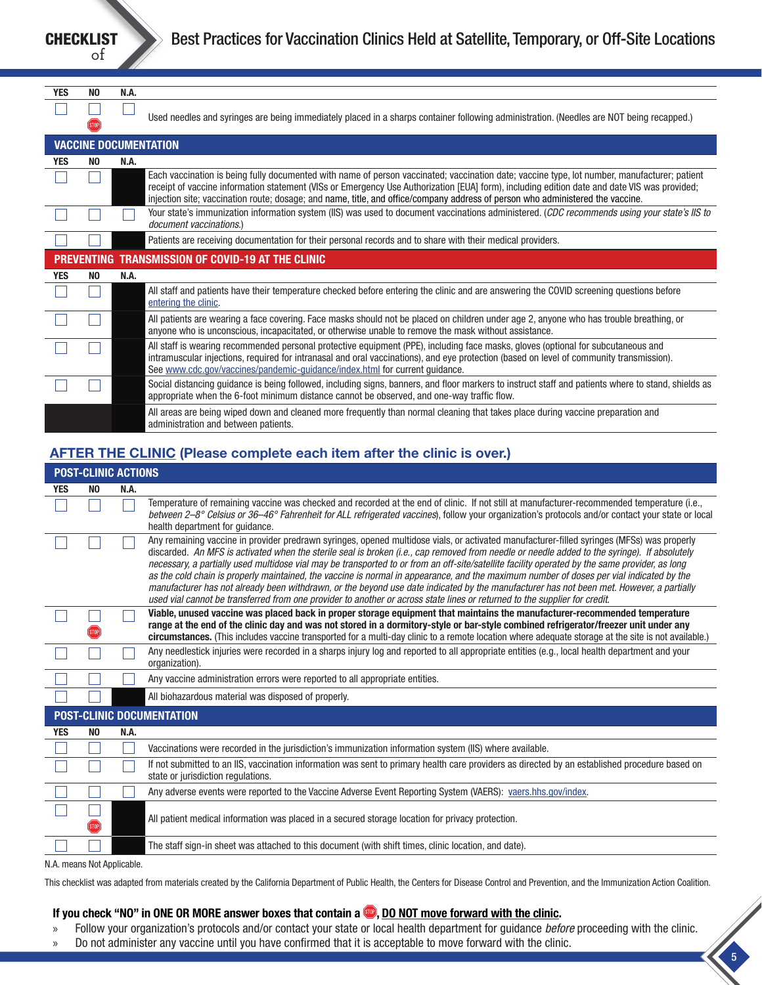CHECKLIST of

| <b>YES</b>                                               | N <sub>0</sub> | N.A. |                                                                                                                                                                                                                                                                                                                                                                                                                                |
|----------------------------------------------------------|----------------|------|--------------------------------------------------------------------------------------------------------------------------------------------------------------------------------------------------------------------------------------------------------------------------------------------------------------------------------------------------------------------------------------------------------------------------------|
|                                                          |                |      |                                                                                                                                                                                                                                                                                                                                                                                                                                |
|                                                          |                |      | Used needles and syringes are being immediately placed in a sharps container following administration. (Needles are NOT being recapped.)                                                                                                                                                                                                                                                                                       |
|                                                          |                |      |                                                                                                                                                                                                                                                                                                                                                                                                                                |
|                                                          |                |      | <b>VACCINE DOCUMENTATION</b>                                                                                                                                                                                                                                                                                                                                                                                                   |
| <b>YES</b>                                               | NO.            | N.A. |                                                                                                                                                                                                                                                                                                                                                                                                                                |
|                                                          |                |      | Each vaccination is being fully documented with name of person vaccinated; vaccination date; vaccine type, lot number, manufacturer; patient<br>receipt of vaccine information statement (VISs or Emergency Use Authorization [EUA] form), including edition date and date VIS was provided;<br>injection site; vaccination route; dosage; and name, title, and office/company address of person who administered the vaccine. |
|                                                          |                |      | Your state's immunization information system (IIS) was used to document vaccinations administered. (CDC recommends using your state's IIS to<br>document vaccinations.)                                                                                                                                                                                                                                                        |
|                                                          |                |      | Patients are receiving documentation for their personal records and to share with their medical providers.                                                                                                                                                                                                                                                                                                                     |
| <b>PREVENTING TRANSMISSION OF COVID-19 AT THE CLINIC</b> |                |      |                                                                                                                                                                                                                                                                                                                                                                                                                                |
| <b>YES</b>                                               | NO.            | N.A. |                                                                                                                                                                                                                                                                                                                                                                                                                                |
|                                                          |                |      | All staff and patients have their temperature checked before entering the clinic and are answering the COVID screening questions before<br>entering the clinic.                                                                                                                                                                                                                                                                |
|                                                          |                |      | All patients are wearing a face covering. Face masks should not be placed on children under age 2, anyone who has trouble breathing, or<br>anyone who is unconscious, incapacitated, or otherwise unable to remove the mask without assistance.                                                                                                                                                                                |
|                                                          |                |      | All staff is wearing recommended personal protective equipment (PPE), including face masks, gloves (optional for subcutaneous and<br>intramuscular injections, required for intranasal and oral vaccinations), and eye protection (based on level of community transmission).<br>See www.cdc.gov/vaccines/pandemic-quidance/index.html for current quidance.                                                                   |
|                                                          |                |      | Social distancing guidance is being followed, including signs, banners, and floor markers to instruct staff and patients where to stand, shields as<br>appropriate when the 6-foot minimum distance cannot be observed, and one-way traffic flow.                                                                                                                                                                              |
|                                                          |                |      | All areas are being wiped down and cleaned more frequently than normal cleaning that takes place during vaccine preparation and<br>administration and between patients.                                                                                                                                                                                                                                                        |

# AFTER THE CLINIC (Please complete each item after the clinic is over.)

| <b>POST-CLINIC ACTIONS</b>       |                |      |                                                                                                                                                                                                                                                                                                                                                                                                                                                                                                                                                                                                                                                                                                                                                                                                                                                                    |
|----------------------------------|----------------|------|--------------------------------------------------------------------------------------------------------------------------------------------------------------------------------------------------------------------------------------------------------------------------------------------------------------------------------------------------------------------------------------------------------------------------------------------------------------------------------------------------------------------------------------------------------------------------------------------------------------------------------------------------------------------------------------------------------------------------------------------------------------------------------------------------------------------------------------------------------------------|
| <b>YES</b>                       | N <sub>0</sub> | N.A. |                                                                                                                                                                                                                                                                                                                                                                                                                                                                                                                                                                                                                                                                                                                                                                                                                                                                    |
|                                  |                |      | Temperature of remaining vaccine was checked and recorded at the end of clinic. If not still at manufacturer-recommended temperature (i.e.,<br>between 2–8° Celsius or 36–46° Fahrenheit for ALL refrigerated vaccines), follow your organization's protocols and/or contact your state or local<br>health department for quidance.                                                                                                                                                                                                                                                                                                                                                                                                                                                                                                                                |
|                                  |                |      | Any remaining vaccine in provider predrawn syringes, opened multidose vials, or activated manufacturer-filled syringes (MFSs) was properly<br>discarded. An MFS is activated when the sterile seal is broken (i.e., cap removed from needle or needle added to the syringe). If absolutely<br>necessary, a partially used multidose vial may be transported to or from an off-site/satellite facility operated by the same provider, as long<br>as the cold chain is properly maintained, the vaccine is normal in appearance, and the maximum number of doses per vial indicated by the<br>manufacturer has not already been withdrawn, or the beyond use date indicated by the manufacturer has not been met. However, a partially<br>used vial cannot be transferred from one provider to another or across state lines or returned to the supplier for credit. |
|                                  |                |      | Viable, unused vaccine was placed back in proper storage equipment that maintains the manufacturer-recommended temperature                                                                                                                                                                                                                                                                                                                                                                                                                                                                                                                                                                                                                                                                                                                                         |
|                                  |                |      | range at the end of the clinic day and was not stored in a dormitory-style or bar-style combined refrigerator/freezer unit under any<br>circumstances. (This includes vaccine transported for a multi-day clinic to a remote location where adequate storage at the site is not available.)                                                                                                                                                                                                                                                                                                                                                                                                                                                                                                                                                                        |
|                                  |                |      | Any needlestick injuries were recorded in a sharps injury log and reported to all appropriate entities (e.g., local health department and your<br>organization).                                                                                                                                                                                                                                                                                                                                                                                                                                                                                                                                                                                                                                                                                                   |
|                                  |                |      | Any vaccine administration errors were reported to all appropriate entities.                                                                                                                                                                                                                                                                                                                                                                                                                                                                                                                                                                                                                                                                                                                                                                                       |
|                                  |                |      | All biohazardous material was disposed of properly.                                                                                                                                                                                                                                                                                                                                                                                                                                                                                                                                                                                                                                                                                                                                                                                                                |
| <b>POST-CLINIC DOCUMENTATION</b> |                |      |                                                                                                                                                                                                                                                                                                                                                                                                                                                                                                                                                                                                                                                                                                                                                                                                                                                                    |
| <b>YES</b>                       | N <sub>0</sub> | N.A. |                                                                                                                                                                                                                                                                                                                                                                                                                                                                                                                                                                                                                                                                                                                                                                                                                                                                    |
|                                  |                |      | Vaccinations were recorded in the jurisdiction's immunization information system (IIS) where available.                                                                                                                                                                                                                                                                                                                                                                                                                                                                                                                                                                                                                                                                                                                                                            |
|                                  |                |      | If not submitted to an IIS, vaccination information was sent to primary health care providers as directed by an established procedure based on<br>state or jurisdiction regulations.                                                                                                                                                                                                                                                                                                                                                                                                                                                                                                                                                                                                                                                                               |
|                                  |                |      | Any adverse events were reported to the Vaccine Adverse Event Reporting System (VAERS): vaers.hhs.gov/index.                                                                                                                                                                                                                                                                                                                                                                                                                                                                                                                                                                                                                                                                                                                                                       |
|                                  |                |      | All patient medical information was placed in a secured storage location for privacy protection.                                                                                                                                                                                                                                                                                                                                                                                                                                                                                                                                                                                                                                                                                                                                                                   |
|                                  |                |      | The staff sign-in sheet was attached to this document (with shift times, clinic location, and date).                                                                                                                                                                                                                                                                                                                                                                                                                                                                                                                                                                                                                                                                                                                                                               |
|                                  |                |      |                                                                                                                                                                                                                                                                                                                                                                                                                                                                                                                                                                                                                                                                                                                                                                                                                                                                    |

N.A. means Not Applicable.

This checklist was adapted from materials created by the California Department of Public Health, the Centers for Disease Control and Prevention, and the Immunization Action Coalition.

#### If you check "NO" in ONE OR MORE answer boxes that contain a  $\bullet$ , DO NOT move forward with the clinic.

» Follow your organization's protocols and/or contact your state or local health department for guidance *before* proceeding with the clinic.

5

» Do not administer any vaccine until you have confirmed that it is acceptable to move forward with the clinic.